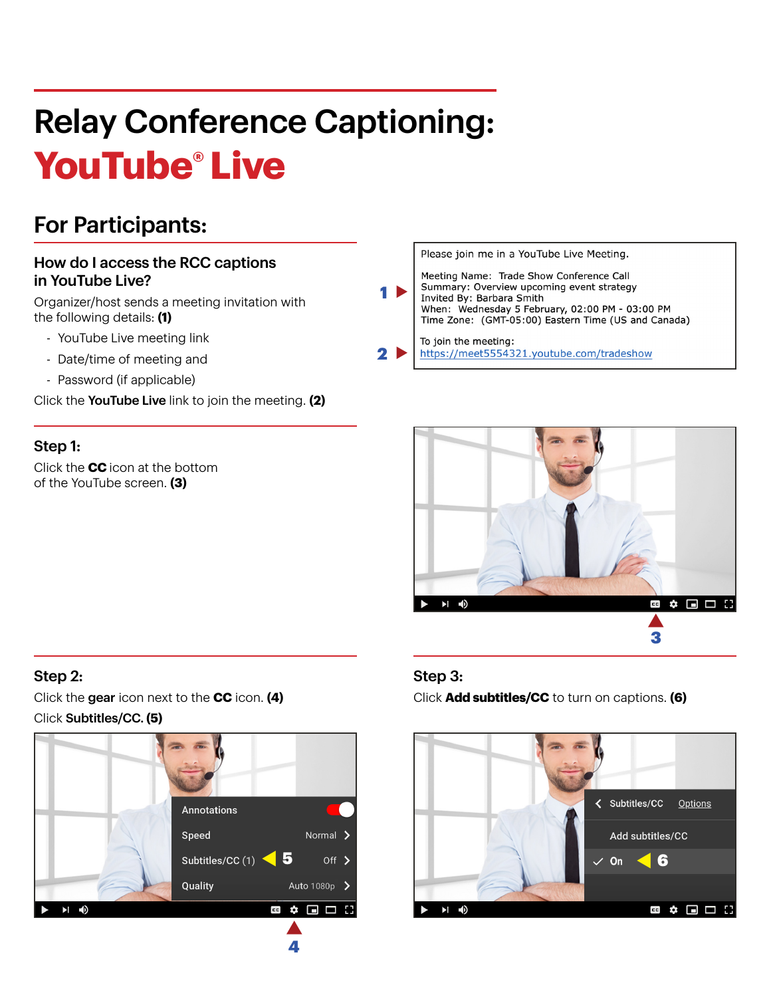# Relay Conference Captioning: **YouTube® Live**

## For Participants:

#### How do I access the RCC captions in YouTube Live?

Organizer/host sends a meeting invitation with the following details: **(1)**

- YouTube Live meeting link
- Date/time of meeting and
- Password (if applicable)

Click the YouTube Live link to join the meeting. **(2)**

#### Step 1:

Click the **CC** icon at the bottom of the YouTube screen. **(3)**

#### Please join me in a YouTube Live Meeting. Meeting Name: Trade Show Conference Call Summary: Overview upcoming event strategy  $1 \triangleright$ Invited By: Barbara Smith When: Wednesday 5 February, 02:00 PM - 03:00 PM Time Zone: (GMT-05:00) Eastern Time (US and Canada) To join the meeting:  $2$   $\blacktriangleright$ https://meet5554321.youtube.com/tradeshow



#### Step 3:

Click **Add subtitles/CC** to turn on captions. **(6)**



#### Step 2:

Click the gear icon next to the **CC** icon. **(4)**  Click Subtitles/CC. **(5)**

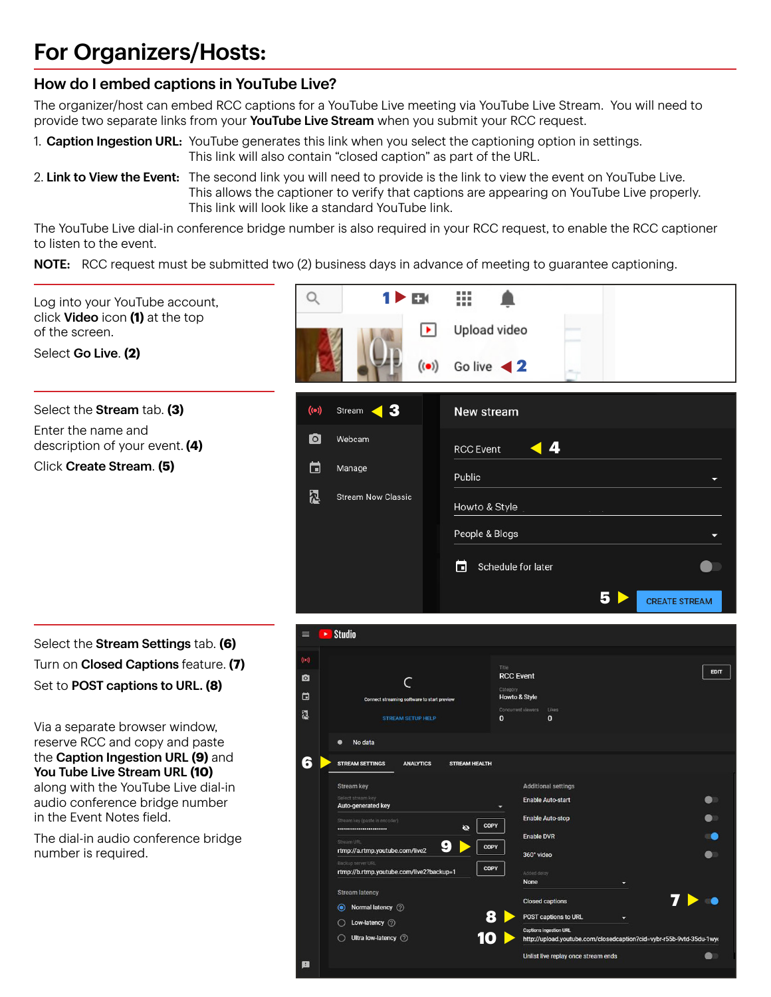## For Organizers/Hosts:

### How do I embed captions in YouTube Live?

The organizer/host can embed RCC captions for a YouTube Live meeting via YouTube Live Stream. You will need to provide two separate links from your YouTube Live Stream when you submit your RCC request.

- 1. Caption Ingestion URL: YouTube generates this link when you select the captioning option in settings. This link will also contain "closed caption" as part of the URL.
- 2. Link to View the Event: The second link you will need to provide is the link to view the event on YouTube Live. This allows the captioner to verify that captions are appearing on YouTube Live properly. This link will look like a standard YouTube link.

The YouTube Live dial-in conference bridge number is also required in your RCC request, to enable the RCC captioner to listen to the event.

NOTE: RCC request must be submitted two (2) business days in advance of meeting to guarantee captioning.

 $\alpha$ 臦  $1$  D Log into your YouTube account, click Video icon **(1)** at the top Upload video H of the screen. Select Go Live. **(2)**  $((\bullet))$  $\blacktriangleleft$  2 Select the Stream tab. **(3)**  $\blacktriangleleft$  3  $( ( \bullet ) )$ New stream Enter the name and  $\bullet$ Webcam description of your event. **(4)** u 4 **RCC Event** Click Create Stream. **(5)** ⊡ Manage Public 凤 **Stream Now Classic** Howto & Style People & Blogs Schedule for later œ u 5 **CREATE STREAM**  $\equiv$   $\rightarrow$  Studio Select the Stream Settings tab. **(6)**  $(\bullet)$ Turn on Closed Captions feature. **(7)** EDIT **RCC Event**  $\bullet$ C Set to POST captions to URL. **(8)**  $\Box$ Howto & Style ā STREAM SETUP HELP  $\Omega$  $\mathbf 0$ Via a separate browser window, reserve RCC and copy and paste No data the Caption Ingestion URL **(9)** and u 6 ANALYTICS STREAM HEALTH You Tube Live Stream URL **(10)** along with the YouTube Live dial-in **Stream key Additional settings Enable Auto-start**  $\bullet$ audio conference bridge number Auto-generated key in the Event Notes field. **Enable Auto-stop**  $\bullet$ COPY  $\sigma$ **Fnable DVR In** The dial-in audio conference bridge 9 COPY rtmp://a.rtmp.youtube.com/live2 number is required. 360° video  $\bullet$ COPY rtmp://b.rtmp.youtube.com/live2?backup=1 **None Stream latency** 7  $\blacktriangleright$ **Closed captions** (a) Normal latency (?) 8 D POST captions to URL ◯ Low-latency ② ◯ Ultra low-latency ⑦ 10  $\blacksquare$ http://upload.youtube.com/closedcaption?cid=vybr-r55b-9vtd-35du-1wyo Unlist live replay once stream ends  $\bullet$ ø